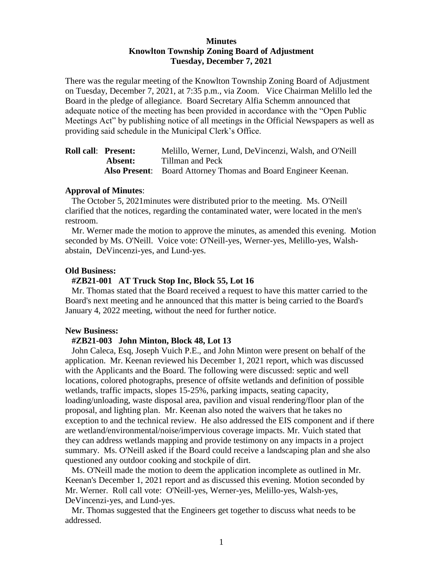## **Minutes Knowlton Township Zoning Board of Adjustment Tuesday, December 7, 2021**

There was the regular meeting of the Knowlton Township Zoning Board of Adjustment on Tuesday, December 7, 2021, at 7:35 p.m., via Zoom. Vice Chairman Melillo led the Board in the pledge of allegiance. Board Secretary Alfia Schemm announced that adequate notice of the meeting has been provided in accordance with the "Open Public Meetings Act" by publishing notice of all meetings in the Official Newspapers as well as providing said schedule in the Municipal Clerk's Office.

| <b>Roll call: Present:</b> | Melillo, Werner, Lund, De Vincenzi, Walsh, and O'Neill                |
|----------------------------|-----------------------------------------------------------------------|
| Absent:                    | Tillman and Peck                                                      |
|                            | <b>Also Present:</b> Board Attorney Thomas and Board Engineer Keenan. |

#### **Approval of Minutes**:

 The October 5, 2021minutes were distributed prior to the meeting. Ms. O'Neill clarified that the notices, regarding the contaminated water, were located in the men's restroom.

 Mr. Werner made the motion to approve the minutes, as amended this evening. Motion seconded by Ms. O'Neill. Voice vote: O'Neill-yes, Werner-yes, Melillo-yes, Walshabstain, DeVincenzi-yes, and Lund-yes.

#### **Old Business:**

#### **#ZB21-001 AT Truck Stop Inc, Block 55, Lot 16**

Mr. Thomas stated that the Board received a request to have this matter carried to the Board's next meeting and he announced that this matter is being carried to the Board's January 4, 2022 meeting, without the need for further notice.

#### **New Business:**

#### **#ZB21-003 John Minton, Block 48, Lot 13**

John Caleca, Esq, Joseph Vuich P.E., and John Minton were present on behalf of the application. Mr. Keenan reviewed his December 1, 2021 report, which was discussed with the Applicants and the Board. The following were discussed: septic and well locations, colored photographs, presence of offsite wetlands and definition of possible wetlands, traffic impacts, slopes 15-25%, parking impacts, seating capacity, loading/unloading, waste disposal area, pavilion and visual rendering/floor plan of the proposal, and lighting plan. Mr. Keenan also noted the waivers that he takes no exception to and the technical review. He also addressed the EIS component and if there are wetland/environmental/noise/impervious coverage impacts. Mr. Vuich stated that they can address wetlands mapping and provide testimony on any impacts in a project summary. Ms. O'Neill asked if the Board could receive a landscaping plan and she also questioned any outdoor cooking and stockpile of dirt.

Ms. O'Neill made the motion to deem the application incomplete as outlined in Mr. Keenan's December 1, 2021 report and as discussed this evening. Motion seconded by Mr. Werner. Roll call vote: O'Neill-yes, Werner-yes, Melillo-yes, Walsh-yes, DeVincenzi-yes, and Lund-yes.

Mr. Thomas suggested that the Engineers get together to discuss what needs to be addressed.